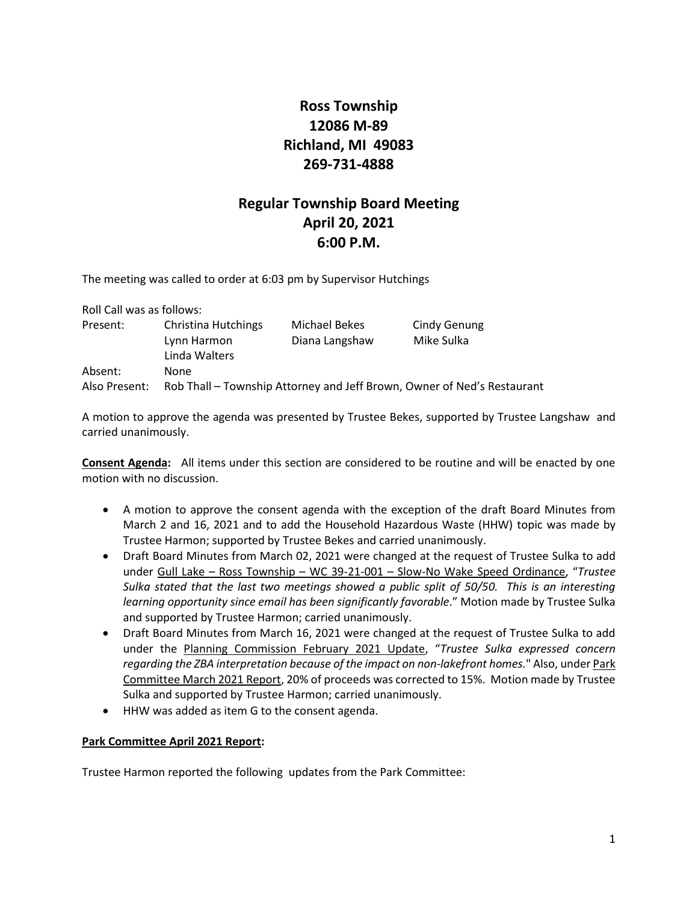# **Ross Township 12086 M-89 Richland, MI 49083 269-731-4888**

# **Regular Township Board Meeting April 20, 2021 6:00 P.M.**

The meeting was called to order at 6:03 pm by Supervisor Hutchings

| Roll Call was as follows: |                                                                                 |                                 |                            |
|---------------------------|---------------------------------------------------------------------------------|---------------------------------|----------------------------|
| Present:                  | Christina Hutchings<br>Lynn Harmon<br>Linda Walters                             | Michael Bekes<br>Diana Langshaw | Cindy Genung<br>Mike Sulka |
| Absent:<br>Also Present:  | None<br>Rob Thall - Township Attorney and Jeff Brown, Owner of Ned's Restaurant |                                 |                            |

A motion to approve the agenda was presented by Trustee Bekes, supported by Trustee Langshaw and carried unanimously.

**Consent Agenda:** All items under this section are considered to be routine and will be enacted by one motion with no discussion.

- A motion to approve the consent agenda with the exception of the draft Board Minutes from March 2 and 16, 2021 and to add the Household Hazardous Waste (HHW) topic was made by Trustee Harmon; supported by Trustee Bekes and carried unanimously.
- Draft Board Minutes from March 02, 2021 were changed at the request of Trustee Sulka to add under Gull Lake – Ross Township – WC 39-21-001 – Slow-No Wake Speed Ordinance, "*Trustee Sulka stated that the last two meetings showed a public split of 50/50. This is an interesting learning opportunity since email has been significantly favorable*." Motion made by Trustee Sulka and supported by Trustee Harmon; carried unanimously.
- Draft Board Minutes from March 16, 2021 were changed at the request of Trustee Sulka to add under the Planning Commission February 2021 Update, "*Trustee Sulka expressed concern regarding the ZBA interpretation because of the impact on non-lakefront homes.*" Also, under Park Committee March 2021 Report, 20% of proceeds was corrected to 15%. Motion made by Trustee Sulka and supported by Trustee Harmon; carried unanimously.
- HHW was added as item G to the consent agenda.

#### **Park Committee April 2021 Report:**

Trustee Harmon reported the following updates from the Park Committee: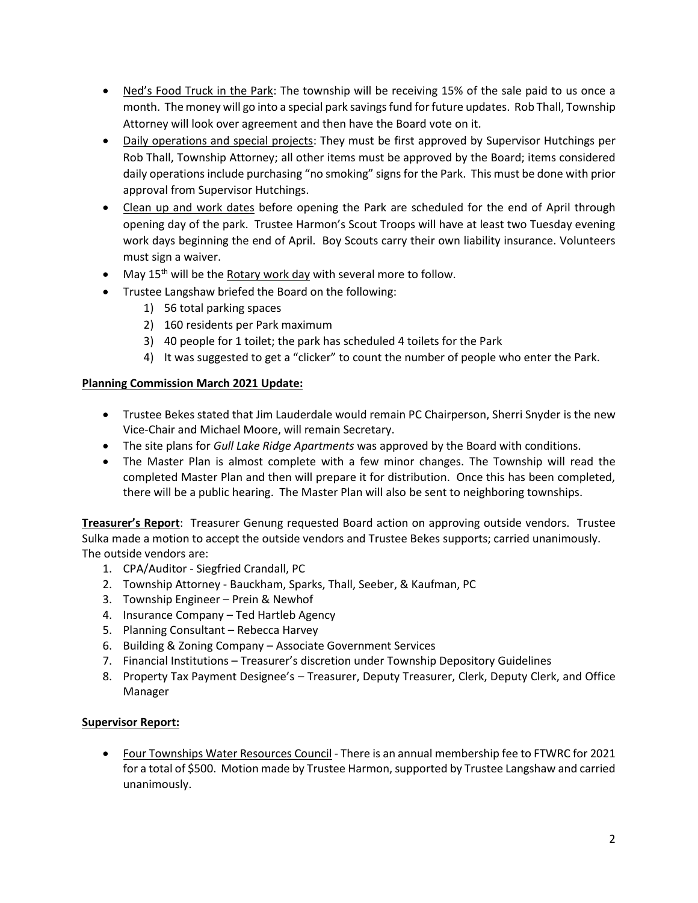- Ned's Food Truck in the Park: The township will be receiving 15% of the sale paid to us once a month. The money will go into a special park savings fund for future updates. Rob Thall, Township Attorney will look over agreement and then have the Board vote on it.
- Daily operations and special projects: They must be first approved by Supervisor Hutchings per Rob Thall, Township Attorney; all other items must be approved by the Board; items considered daily operations include purchasing "no smoking" signs for the Park. This must be done with prior approval from Supervisor Hutchings.
- Clean up and work dates before opening the Park are scheduled for the end of April through opening day of the park. Trustee Harmon's Scout Troops will have at least two Tuesday evening work days beginning the end of April. Boy Scouts carry their own liability insurance. Volunteers must sign a waiver.
- May 15<sup>th</sup> will be the Rotary work day with several more to follow.
- Trustee Langshaw briefed the Board on the following:
	- 1) 56 total parking spaces
	- 2) 160 residents per Park maximum
	- 3) 40 people for 1 toilet; the park has scheduled 4 toilets for the Park
	- 4) It was suggested to get a "clicker" to count the number of people who enter the Park.

## **Planning Commission March 2021 Update:**

- Trustee Bekes stated that Jim Lauderdale would remain PC Chairperson, Sherri Snyder is the new Vice-Chair and Michael Moore, will remain Secretary.
- The site plans for *Gull Lake Ridge Apartments* was approved by the Board with conditions.
- The Master Plan is almost complete with a few minor changes. The Township will read the completed Master Plan and then will prepare it for distribution. Once this has been completed, there will be a public hearing. The Master Plan will also be sent to neighboring townships.

**Treasurer's Report**: Treasurer Genung requested Board action on approving outside vendors. Trustee Sulka made a motion to accept the outside vendors and Trustee Bekes supports; carried unanimously. The outside vendors are:

- 1. CPA/Auditor Siegfried Crandall, PC
- 2. Township Attorney Bauckham, Sparks, Thall, Seeber, & Kaufman, PC
- 3. Township Engineer Prein & Newhof
- 4. Insurance Company Ted Hartleb Agency
- 5. Planning Consultant Rebecca Harvey
- 6. Building & Zoning Company Associate Government Services
- 7. Financial Institutions Treasurer's discretion under Township Depository Guidelines
- 8. Property Tax Payment Designee's Treasurer, Deputy Treasurer, Clerk, Deputy Clerk, and Office Manager

## **Supervisor Report:**

• Four Townships Water Resources Council - There is an annual membership fee to FTWRC for 2021 for a total of \$500. Motion made by Trustee Harmon, supported by Trustee Langshaw and carried unanimously.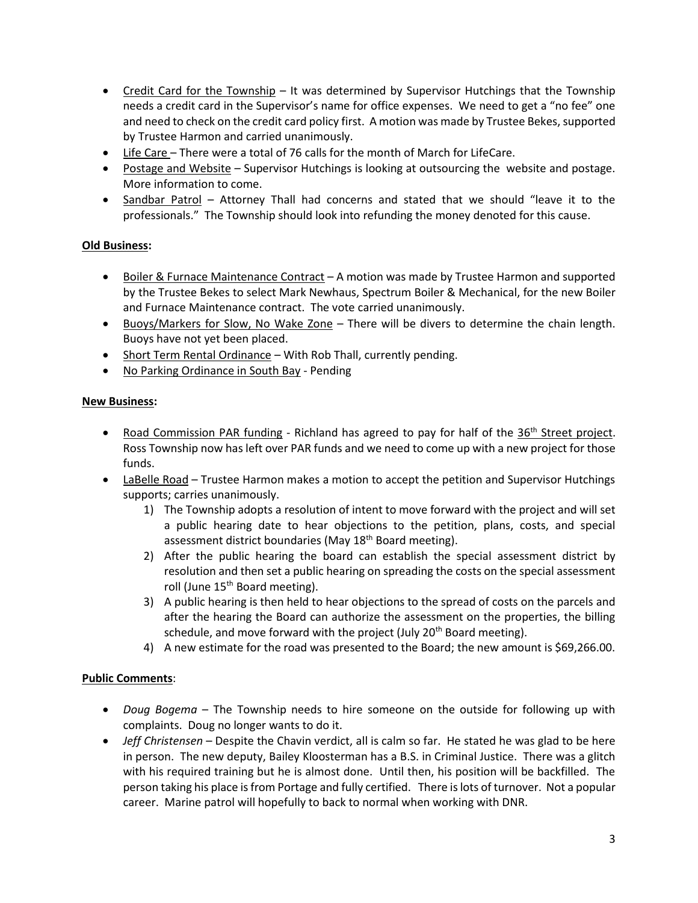- Credit Card for the Township It was determined by Supervisor Hutchings that the Township needs a credit card in the Supervisor's name for office expenses. We need to get a "no fee" one and need to check on the credit card policy first. A motion was made by Trustee Bekes, supported by Trustee Harmon and carried unanimously.
- Life Care There were a total of 76 calls for the month of March for LifeCare.
- Postage and Website Supervisor Hutchings is looking at outsourcing the website and postage. More information to come.
- Sandbar Patrol Attorney Thall had concerns and stated that we should "leave it to the professionals." The Township should look into refunding the money denoted for this cause.

### **Old Business:**

- Boiler & Furnace Maintenance Contract A motion was made by Trustee Harmon and supported by the Trustee Bekes to select Mark Newhaus, Spectrum Boiler & Mechanical, for the new Boiler and Furnace Maintenance contract. The vote carried unanimously.
- Buoys/Markers for Slow, No Wake Zone There will be divers to determine the chain length. Buoys have not yet been placed.
- Short Term Rental Ordinance With Rob Thall, currently pending.
- No Parking Ordinance in South Bay Pending

### **New Business:**

- Road Commission PAR funding Richland has agreed to pay for half of the 36<sup>th</sup> Street project. Ross Township now has left over PAR funds and we need to come up with a new project for those funds.
- LaBelle Road Trustee Harmon makes a motion to accept the petition and Supervisor Hutchings supports; carries unanimously.
	- 1) The Township adopts a resolution of intent to move forward with the project and will set a public hearing date to hear objections to the petition, plans, costs, and special assessment district boundaries (May 18<sup>th</sup> Board meeting).
	- 2) After the public hearing the board can establish the special assessment district by resolution and then set a public hearing on spreading the costs on the special assessment roll (June 15<sup>th</sup> Board meeting).
	- 3) A public hearing is then held to hear objections to the spread of costs on the parcels and after the hearing the Board can authorize the assessment on the properties, the billing schedule, and move forward with the project (July  $20<sup>th</sup>$  Board meeting).
	- 4) A new estimate for the road was presented to the Board; the new amount is \$69,266.00.

## **Public Comments**:

- *Doug Bogema* The Township needs to hire someone on the outside for following up with complaints. Doug no longer wants to do it.
- *Jeff Christensen* Despite the Chavin verdict, all is calm so far. He stated he was glad to be here in person. The new deputy, Bailey Kloosterman has a B.S. in Criminal Justice. There was a glitch with his required training but he is almost done. Until then, his position will be backfilled. The person taking his place is from Portage and fully certified. There is lots of turnover. Not a popular career. Marine patrol will hopefully to back to normal when working with DNR.